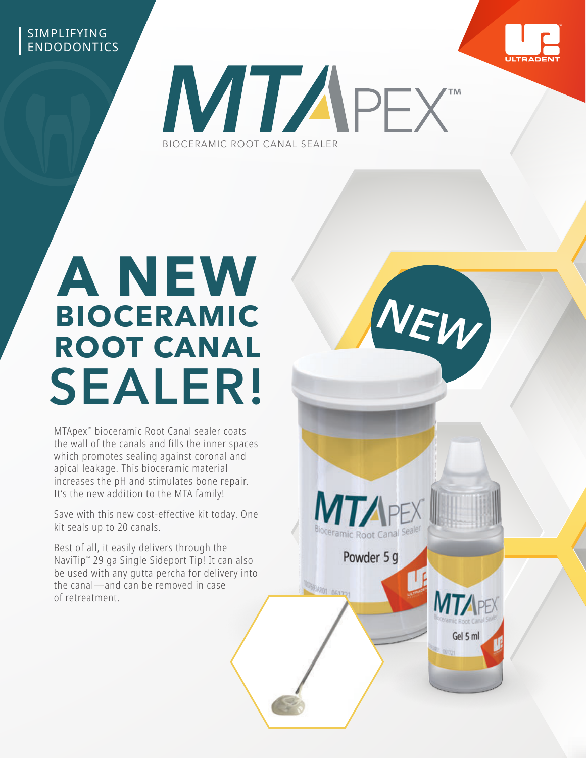## SIMPLIFYING ENDODONTICS



*NEW*

Gel 5 ml

Powder 5 g

6934901 061721



# **A NEW BIOCERAMIC ROOT CANAL SEALER!**

MTApex™ bioceramic Root Canal sealer coats the wall of the canals and fills the inner spaces which promotes sealing against coronal and apical leakage. This bioceramic material increases the pH and stimulates bone repair. It's the new addition to the MTA family!

Save with this new cost-effective kit today. One kit seals up to 20 canals.

Best of all, it easily delivers through the NaviTip™ 29 ga Single Sideport Tip! It can also be used with any gutta percha for delivery into the canal—and can be removed in case of retreatment.